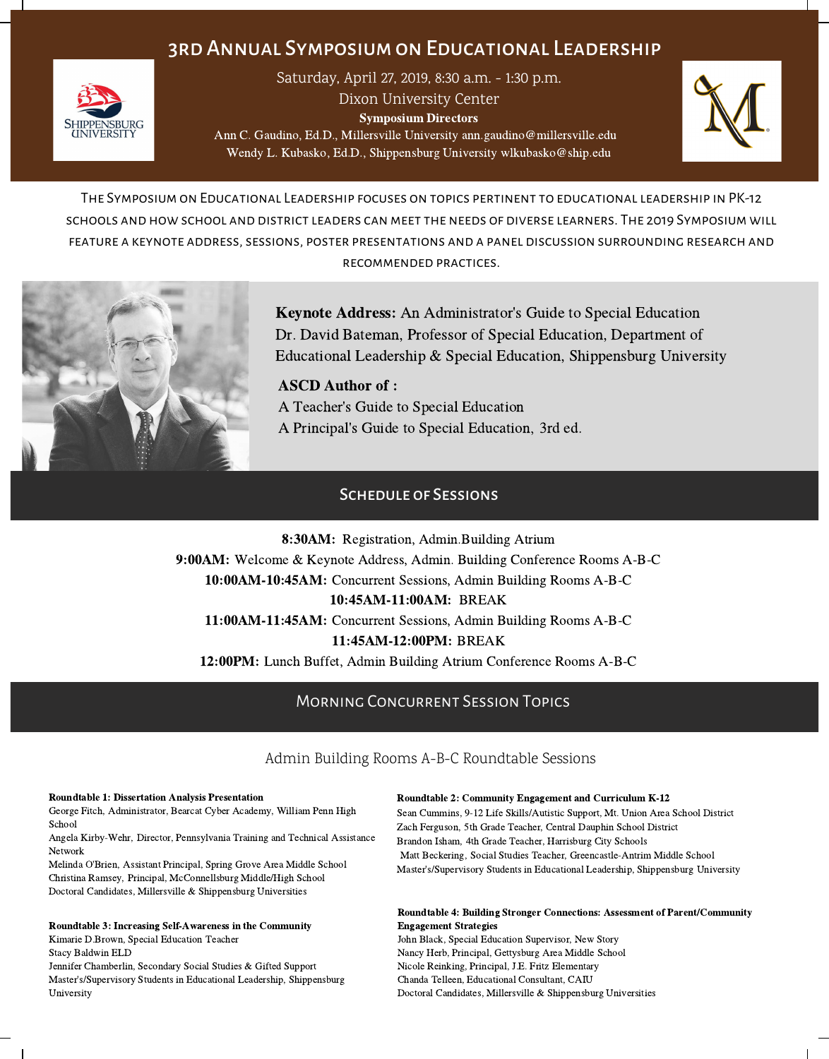# 3rd Annual Symposiumon Educational Leadership



Saturday, April 27, 2019, 8:30 a.m. - 1:30 p.m.

Dixon University Center

Symposium Directors

Ann C. Gaudino, Ed.D., Millersville University ann.gaudino@millersville.edu Wendy L. Kubasko, Ed.D., Shippensburg University wlkubasko@ship.edu



The Symposiumon Educational Leadership focuses on topics pertinent to educationalleadership in PK-12 schools and how school and district leaders canmeet the needs of diverse learners. The 2019 Symposium will feature a keynote address, sessions, poster presentations and a panel discussion surrounding research and recommended practices.



Keynote Address: An Administrator's Guide to Special Education Dr. David Bateman, Professor of Special Education, Department of Educational Leadership & Special Education, Shippensburg University

ASCD Author of : A Teacher's Guide to Special Education A Principal's Guide to Special Education, 3rd ed.

# Schedule of Sessions

8:30AM: Registration, Admin.Building Atrium 9:00AM: Welcome & Keynote Address, Admin. Building Conference Rooms A-B-C 10:00AM-10:45AM: Concurrent Sessions, Admin Building Rooms A-B-C 10:45AM-11:00AM: BREAK 11:00AM-11:45AM: Concurrent Sessions, Admin Building Rooms A-B-C 11:45AM-12:00PM: BREAK 12:00PM: Lunch Buffet, Admin Building Atrium Conference Rooms A-B-C

# Morning Concurrent Session Topics

## Admin Building Rooms A-B-C Roundtable Sessions

#### Roundtable 1: Dissertation Analysis Presentation

George Fitch, Administrator, Bearcat Cyber Academy, William Penn High School

Angela Kirby-Wehr, Director, Pennsylvania Training and Technical Assistance Network

Melinda O'Brien, Assistant Principal, Spring Grove Area Middle School Christina Ramsey, Principal, McConnellsburg Middle/High School Doctoral Candidates, Millersville & Shippensburg Universities

#### Roundtable 3: Increasing Self-Awareness in the Community

Kimarie D.Brown, Special Education Teacher

Stacy Baldwin ELD

Jennifer Chamberlin, Secondary Social Studies & Gifted Support Master's/Supervisory Students in Educational Leadership, Shippensburg University

#### Roundtable 2: Community Engagement and Curriculum K-12

Sean Cummins, 9-12 Life Skills/Autistic Support, Mt. Union Area School District Zach Ferguson, 5th Grade Teacher, Central Dauphin School District Brandon Isham, 4th Grade Teacher, Harrisburg City Schools Matt Beckering, Social Studies Teacher, Greencastle-Antrim Middle School Master's/Supervisory Students in Educational Leadership, Shippensburg University

#### Roundtable 4: Building Stronger Connections: Assessment of Parent/Community Engagement Strategies

John Black, Special Education Supervisor, New Story Nancy Herb, Principal, Gettysburg Area Middle School Nicole Reinking, Principal, J.E. Fritz Elementary Chanda Telleen, Educational Consultant, CAIU Doctoral Candidates, Millersville & Shippensburg Universities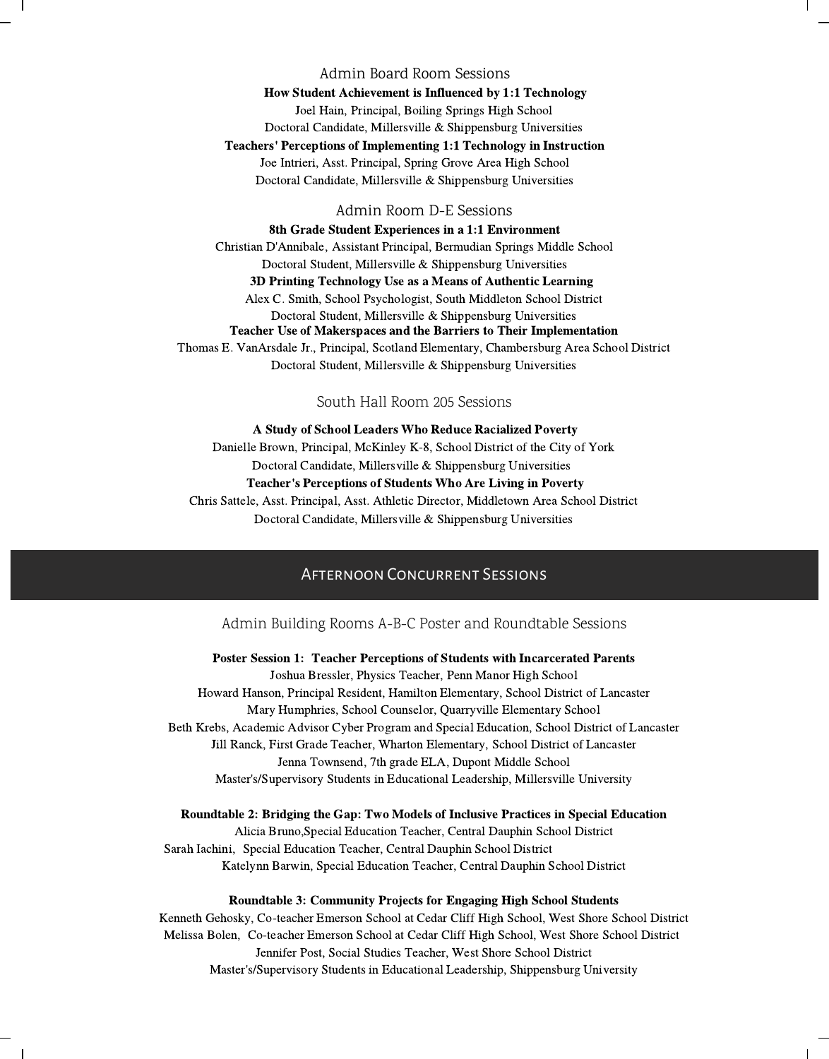### Admin Board Room Sessions

How Student Achievement is Influenced by 1:1 Technology Joel Hain, Principal, Boiling Springs High School Doctoral Candidate, Millersville & Shippensburg Universities Teachers' Perceptions of Implementing 1:1 Technology in Instruction Joe Intrieri, Asst. Principal, Spring Grove Area High School Doctoral Candidate, Millersville & Shippensburg Universities

#### Admin Room D-E Sessions

8th Grade Student Experiences in a 1:1 Environment Christian D'Annibale, Assistant Principal, Bermudian Springs Middle School Doctoral Student, Millersville & Shippensburg Universities 3D Printing Technology Use as a Means of Authentic Learning Alex C. Smith, School Psychologist, South Middleton School District Doctoral Student, Millersville & Shippensburg Universities Teacher Use of Makerspaces and the Barriers to Their Implementation Thomas E. VanArsdale Jr., Principal, Scotland Elementary, Chambersburg Area School District Doctoral Student, Millersville & Shippensburg Universities

### South Hall Room 205 Sessions

A Study of School Leaders Who Reduce Racialized Poverty Danielle Brown, Principal, McKinley K-8, School District of the City of York Doctoral Candidate, Millersville & Shippensburg Universities Teacher's Perceptions of Students Who Are Living in Poverty Chris Sattele, Asst. Principal, Asst. Athletic Director, Middletown Area School District Doctoral Candidate, Millersville & Shippensburg Universities

# Afternoon Concurrent Sessions

Admin Building Rooms A-B-C Poster and Roundtable Sessions

Poster Session 1: Teacher Perceptions of Students with Incarcerated Parents Joshua Bressler, Physics Teacher, Penn Manor High School Howard Hanson, Principal Resident, Hamilton Elementary, School District of Lancaster Mary Humphries, School Counselor, Quarryville Elementary School Beth Krebs, Academic Advisor Cyber Program and Special Education, School District of Lancaster Jill Ranck, First Grade Teacher, Wharton Elementary, School District of Lancaster Jenna Townsend, 7th grade ELA, Dupont Middle School Master's/Supervisory Students in Educational Leadership, Millersville University

#### Roundtable 2: Bridging the Gap: Two Models of Inclusive Practices in Special Education

Alicia Bruno,Special Education Teacher, Central Dauphin School District Sarah Iachini, Special Education Teacher, Central Dauphin School District Katelynn Barwin, Special Education Teacher, Central Dauphin School District

### Roundtable 3: Community Projects for Engaging High School Students

Kenneth Gehosky, Co-teacher Emerson School at Cedar Cliff High School, West Shore School District Melissa Bolen, Co-teacher Emerson School at Cedar Cliff High School, West Shore School District Jennifer Post, Social Studies Teacher, West Shore School District Master's/Supervisory Students in Educational Leadership, Shippensburg University